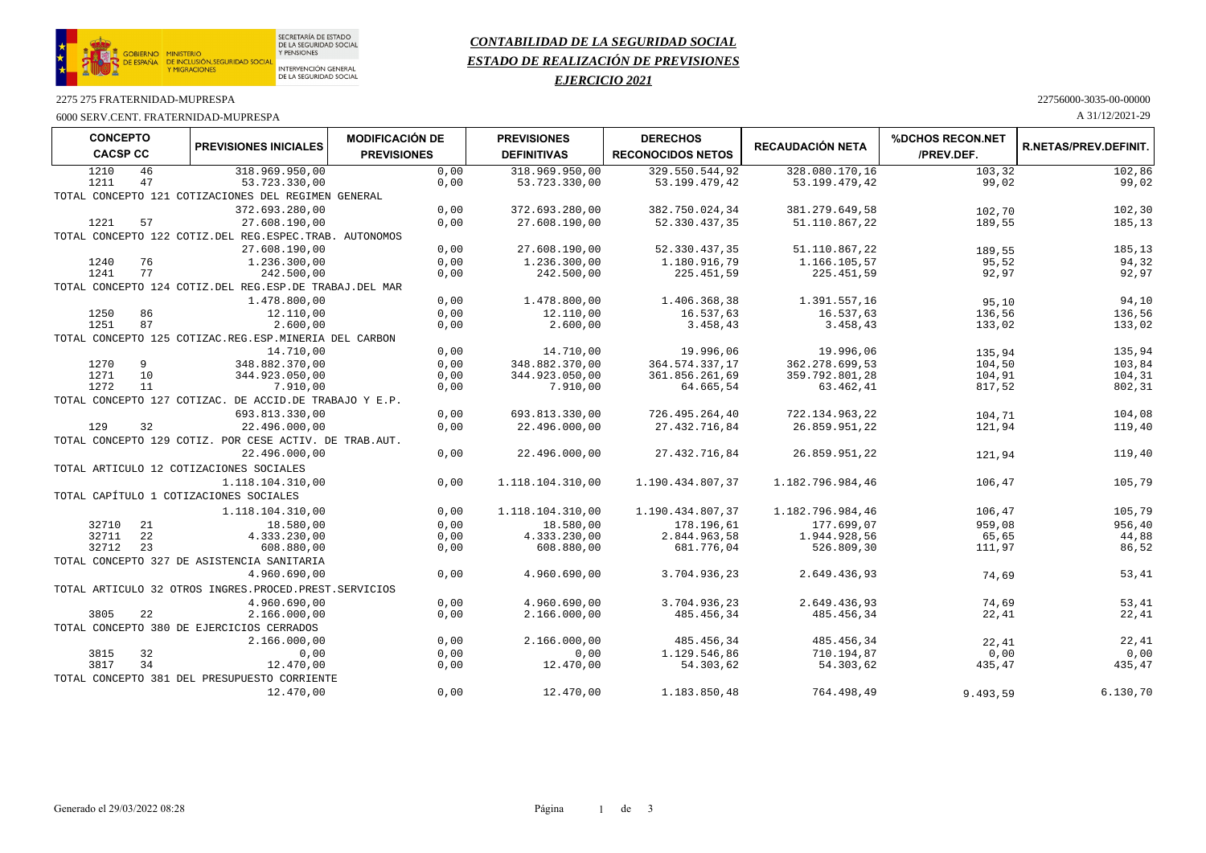

SECRETARÍA DE ESTADO<br>DE LA SEGURIDAD SOCIAL<br>Y PENSIONES

# *CONTABILIDAD DE LA SEGURIDAD SOCIAL ESTADO DE REALIZACIÓN DE PREVISIONES*

## *EJERCICIO 2021*

#### 2275 275 FRATERNIDAD-MUPRESPA 22756000-3035-00-00000

### 6000 SERV.CENT. FRATERNIDAD-MUPRESPA A 31/12/2021-29

| 102,86<br>1210<br>46<br>318.969.950.00<br>0,00<br>318.969.950.00<br>329.550.544.92<br>328.080.170.16<br>103,32<br>1211<br>47<br>53.723.330,00<br>0,00<br>99,02<br>99,02<br>53.723.330,00<br>53.199.479,42<br>53.199.479,42<br>TOTAL CONCEPTO 121 COTIZACIONES DEL REGIMEN GENERAL<br>372.693.280,00<br>0,00<br>372.693.280,00<br>382.750.024,34<br>381.279.649,58<br>102,30<br>102,70<br>57<br>0,00<br>1221<br>27.608.190,00<br>27.608.190,00<br>52.330.437,35<br>51.110.867,22<br>189,55<br>185,13<br>TOTAL CONCEPTO 122 COTIZ.DEL REG.ESPEC.TRAB. AUTONOMOS<br>0,00<br>185,13<br>27.608.190,00<br>27.608.190,00<br>52.330.437,35<br>51.110.867,22<br>189,55<br>76<br>94,32<br>1.236.300,00<br>0,00<br>1.236.300,00<br>1.180.916,79<br>1.166.105,57<br>95,52<br>1240<br>77<br>92,97<br>92,97<br>1241<br>242.500,00<br>0,00<br>242.500,00<br>225.451,59<br>225.451,59<br>TOTAL CONCEPTO 124 COTIZ.DEL REG.ESP.DE TRABAJ.DEL MAR<br>1.478.800,00<br>0,00<br>1.391.557,16<br>94,10<br>1.478.800,00<br>1.406.368,38<br>95.10<br>136,56<br>86<br>12.110,00<br>0,00<br>12.110,00<br>16.537,63<br>16.537,63<br>136,56<br>1250<br>87<br>1251<br>2.600,00<br>0,00<br>2.600,00<br>3.458,43<br>3.458,43<br>133,02<br>133,02<br>TOTAL CONCEPTO 125 COTIZAC.REG.ESP.MINERIA DEL CARBON<br>14.710.00<br>135,94<br>0,00<br>14.710,00<br>19.996.06<br>19.996.06<br>135,94<br>0,00<br>1270<br>9<br>348.882.370,00<br>348.882.370,00<br>364.574.337,17<br>362.278.699,53<br>104,50<br>103,84<br>10<br>104,91<br>104,31<br>1271<br>344.923.050,00<br>0,00<br>344.923.050,00<br>361.856.261,69<br>359.792.801,28<br>1272<br>802,31<br>11<br>7.910,00<br>0,00<br>63.462,41<br>817,52<br>7.910,00<br>64.665,54<br>TOTAL CONCEPTO 127 COTIZAC. DE ACCID.DE TRABAJO Y E.P.<br>104,08<br>693.813.330,00<br>0,00<br>693.813.330,00<br>726.495.264,40<br>722.134.963,22<br>104,71<br>32<br>0,00<br>129<br>22.496.000,00<br>22.496.000,00<br>27.432.716,84<br>26.859.951.22<br>121,94<br>119,40<br>TOTAL CONCEPTO 129 COTIZ. POR CESE ACTIV. DE TRAB.AUT.<br>22.496.000,00<br>0,00<br>22.496.000,00<br>27.432.716,84<br>26.859.951,22<br>119,40<br>121,94<br>TOTAL ARTICULO 12 COTIZACIONES SOCIALES<br>105,79<br>1.118.104.310,00<br>0,00<br>1.118.104.310,00<br>1.190.434.807,37<br>1.182.796.984,46<br>106,47<br>TOTAL CAPÍTULO 1 COTIZACIONES SOCIALES<br>1.190.434.807,37<br>106,47<br>105,79<br>1.118.104.310,00<br>0,00<br>1.118.104.310,00<br>1.182.796.984,46<br>956,40<br>0,00<br>959,08<br>32710<br>21<br>18.580,00<br>18.580,00<br>178.196,61<br>177.699.07<br>32711<br>22<br>44,88<br>4.333.230.00<br>0,00<br>4.333.230,00<br>2.844.963,58<br>1.944.928,56<br>65,65<br>32712<br>23<br>608.880,00<br>86,52<br>0,00<br>608.880,00<br>681.776,04<br>526.809,30<br>111,97<br>TOTAL CONCEPTO 327 DE ASISTENCIA SANITARIA<br>53,41<br>4.960.690,00<br>0,00<br>3.704.936,23<br>2.649.436,93<br>4.960.690,00<br>74,69<br>TOTAL ARTICULO 32 OTROS INGRES. PROCED. PREST. SERVICIOS<br>53,41<br>4.960.690,00<br>0,00<br>4.960.690,00<br>3.704.936,23<br>2.649.436,93<br>74,69<br>22<br>0,00<br>22,41<br>3805<br>2.166.000,00<br>2.166.000,00<br>485.456.34<br>485.456,34<br>22,41<br>TOTAL CONCEPTO 380 DE EJERCICIOS CERRADOS<br>2.166.000,00<br>0,00<br>2.166.000,00<br>485.456,34<br>485.456,34<br>22,41<br>22.41<br>32<br>3815<br>0,00<br>0,00<br>0,00<br>1.129.546,86<br>710.194,87<br>0,00<br>0,00<br>3817<br>34<br>435,47<br>12.470,00<br>0,00<br>54.303,62<br>54.303,62<br>435,47<br>12.470,00<br>TOTAL CONCEPTO 381 DEL PRESUPUESTO CORRIENTE | <b>CONCEPTO</b><br><b>CACSP CC</b> | <b>PREVISIONES INICIALES</b> | <b>MODIFICACIÓN DE</b><br><b>PREVISIONES</b> | <b>PREVISIONES</b><br><b>DEFINITIVAS</b> | <b>DERECHOS</b><br><b>RECONOCIDOS NETOS</b> | <b>RECAUDACIÓN NETA</b> | %DCHOS RECON.NET<br>/PREV.DEF. | <b>R.NETAS/PREV.DEFINIT.</b> |
|--------------------------------------------------------------------------------------------------------------------------------------------------------------------------------------------------------------------------------------------------------------------------------------------------------------------------------------------------------------------------------------------------------------------------------------------------------------------------------------------------------------------------------------------------------------------------------------------------------------------------------------------------------------------------------------------------------------------------------------------------------------------------------------------------------------------------------------------------------------------------------------------------------------------------------------------------------------------------------------------------------------------------------------------------------------------------------------------------------------------------------------------------------------------------------------------------------------------------------------------------------------------------------------------------------------------------------------------------------------------------------------------------------------------------------------------------------------------------------------------------------------------------------------------------------------------------------------------------------------------------------------------------------------------------------------------------------------------------------------------------------------------------------------------------------------------------------------------------------------------------------------------------------------------------------------------------------------------------------------------------------------------------------------------------------------------------------------------------------------------------------------------------------------------------------------------------------------------------------------------------------------------------------------------------------------------------------------------------------------------------------------------------------------------------------------------------------------------------------------------------------------------------------------------------------------------------------------------------------------------------------------------------------------------------------------------------------------------------------------------------------------------------------------------------------------------------------------------------------------------------------------------------------------------------------------------------------------------------------------------------------------------------------------------------------------------------------------------------------------------------------------------------------------------------------------------------------------------------------------------------------------------------------------------------------------------------------------------------------------------------------------------------------------------------------------------------------------------------------------------------------------------------------|------------------------------------|------------------------------|----------------------------------------------|------------------------------------------|---------------------------------------------|-------------------------|--------------------------------|------------------------------|
|                                                                                                                                                                                                                                                                                                                                                                                                                                                                                                                                                                                                                                                                                                                                                                                                                                                                                                                                                                                                                                                                                                                                                                                                                                                                                                                                                                                                                                                                                                                                                                                                                                                                                                                                                                                                                                                                                                                                                                                                                                                                                                                                                                                                                                                                                                                                                                                                                                                                                                                                                                                                                                                                                                                                                                                                                                                                                                                                                                                                                                                                                                                                                                                                                                                                                                                                                                                                                                                                                                                                |                                    |                              |                                              |                                          |                                             |                         |                                |                              |
|                                                                                                                                                                                                                                                                                                                                                                                                                                                                                                                                                                                                                                                                                                                                                                                                                                                                                                                                                                                                                                                                                                                                                                                                                                                                                                                                                                                                                                                                                                                                                                                                                                                                                                                                                                                                                                                                                                                                                                                                                                                                                                                                                                                                                                                                                                                                                                                                                                                                                                                                                                                                                                                                                                                                                                                                                                                                                                                                                                                                                                                                                                                                                                                                                                                                                                                                                                                                                                                                                                                                |                                    |                              |                                              |                                          |                                             |                         |                                |                              |
|                                                                                                                                                                                                                                                                                                                                                                                                                                                                                                                                                                                                                                                                                                                                                                                                                                                                                                                                                                                                                                                                                                                                                                                                                                                                                                                                                                                                                                                                                                                                                                                                                                                                                                                                                                                                                                                                                                                                                                                                                                                                                                                                                                                                                                                                                                                                                                                                                                                                                                                                                                                                                                                                                                                                                                                                                                                                                                                                                                                                                                                                                                                                                                                                                                                                                                                                                                                                                                                                                                                                |                                    |                              |                                              |                                          |                                             |                         |                                |                              |
|                                                                                                                                                                                                                                                                                                                                                                                                                                                                                                                                                                                                                                                                                                                                                                                                                                                                                                                                                                                                                                                                                                                                                                                                                                                                                                                                                                                                                                                                                                                                                                                                                                                                                                                                                                                                                                                                                                                                                                                                                                                                                                                                                                                                                                                                                                                                                                                                                                                                                                                                                                                                                                                                                                                                                                                                                                                                                                                                                                                                                                                                                                                                                                                                                                                                                                                                                                                                                                                                                                                                |                                    |                              |                                              |                                          |                                             |                         |                                |                              |
|                                                                                                                                                                                                                                                                                                                                                                                                                                                                                                                                                                                                                                                                                                                                                                                                                                                                                                                                                                                                                                                                                                                                                                                                                                                                                                                                                                                                                                                                                                                                                                                                                                                                                                                                                                                                                                                                                                                                                                                                                                                                                                                                                                                                                                                                                                                                                                                                                                                                                                                                                                                                                                                                                                                                                                                                                                                                                                                                                                                                                                                                                                                                                                                                                                                                                                                                                                                                                                                                                                                                |                                    |                              |                                              |                                          |                                             |                         |                                |                              |
|                                                                                                                                                                                                                                                                                                                                                                                                                                                                                                                                                                                                                                                                                                                                                                                                                                                                                                                                                                                                                                                                                                                                                                                                                                                                                                                                                                                                                                                                                                                                                                                                                                                                                                                                                                                                                                                                                                                                                                                                                                                                                                                                                                                                                                                                                                                                                                                                                                                                                                                                                                                                                                                                                                                                                                                                                                                                                                                                                                                                                                                                                                                                                                                                                                                                                                                                                                                                                                                                                                                                |                                    |                              |                                              |                                          |                                             |                         |                                |                              |
|                                                                                                                                                                                                                                                                                                                                                                                                                                                                                                                                                                                                                                                                                                                                                                                                                                                                                                                                                                                                                                                                                                                                                                                                                                                                                                                                                                                                                                                                                                                                                                                                                                                                                                                                                                                                                                                                                                                                                                                                                                                                                                                                                                                                                                                                                                                                                                                                                                                                                                                                                                                                                                                                                                                                                                                                                                                                                                                                                                                                                                                                                                                                                                                                                                                                                                                                                                                                                                                                                                                                |                                    |                              |                                              |                                          |                                             |                         |                                |                              |
|                                                                                                                                                                                                                                                                                                                                                                                                                                                                                                                                                                                                                                                                                                                                                                                                                                                                                                                                                                                                                                                                                                                                                                                                                                                                                                                                                                                                                                                                                                                                                                                                                                                                                                                                                                                                                                                                                                                                                                                                                                                                                                                                                                                                                                                                                                                                                                                                                                                                                                                                                                                                                                                                                                                                                                                                                                                                                                                                                                                                                                                                                                                                                                                                                                                                                                                                                                                                                                                                                                                                |                                    |                              |                                              |                                          |                                             |                         |                                |                              |
|                                                                                                                                                                                                                                                                                                                                                                                                                                                                                                                                                                                                                                                                                                                                                                                                                                                                                                                                                                                                                                                                                                                                                                                                                                                                                                                                                                                                                                                                                                                                                                                                                                                                                                                                                                                                                                                                                                                                                                                                                                                                                                                                                                                                                                                                                                                                                                                                                                                                                                                                                                                                                                                                                                                                                                                                                                                                                                                                                                                                                                                                                                                                                                                                                                                                                                                                                                                                                                                                                                                                |                                    |                              |                                              |                                          |                                             |                         |                                |                              |
|                                                                                                                                                                                                                                                                                                                                                                                                                                                                                                                                                                                                                                                                                                                                                                                                                                                                                                                                                                                                                                                                                                                                                                                                                                                                                                                                                                                                                                                                                                                                                                                                                                                                                                                                                                                                                                                                                                                                                                                                                                                                                                                                                                                                                                                                                                                                                                                                                                                                                                                                                                                                                                                                                                                                                                                                                                                                                                                                                                                                                                                                                                                                                                                                                                                                                                                                                                                                                                                                                                                                |                                    |                              |                                              |                                          |                                             |                         |                                |                              |
|                                                                                                                                                                                                                                                                                                                                                                                                                                                                                                                                                                                                                                                                                                                                                                                                                                                                                                                                                                                                                                                                                                                                                                                                                                                                                                                                                                                                                                                                                                                                                                                                                                                                                                                                                                                                                                                                                                                                                                                                                                                                                                                                                                                                                                                                                                                                                                                                                                                                                                                                                                                                                                                                                                                                                                                                                                                                                                                                                                                                                                                                                                                                                                                                                                                                                                                                                                                                                                                                                                                                |                                    |                              |                                              |                                          |                                             |                         |                                |                              |
|                                                                                                                                                                                                                                                                                                                                                                                                                                                                                                                                                                                                                                                                                                                                                                                                                                                                                                                                                                                                                                                                                                                                                                                                                                                                                                                                                                                                                                                                                                                                                                                                                                                                                                                                                                                                                                                                                                                                                                                                                                                                                                                                                                                                                                                                                                                                                                                                                                                                                                                                                                                                                                                                                                                                                                                                                                                                                                                                                                                                                                                                                                                                                                                                                                                                                                                                                                                                                                                                                                                                |                                    |                              |                                              |                                          |                                             |                         |                                |                              |
|                                                                                                                                                                                                                                                                                                                                                                                                                                                                                                                                                                                                                                                                                                                                                                                                                                                                                                                                                                                                                                                                                                                                                                                                                                                                                                                                                                                                                                                                                                                                                                                                                                                                                                                                                                                                                                                                                                                                                                                                                                                                                                                                                                                                                                                                                                                                                                                                                                                                                                                                                                                                                                                                                                                                                                                                                                                                                                                                                                                                                                                                                                                                                                                                                                                                                                                                                                                                                                                                                                                                |                                    |                              |                                              |                                          |                                             |                         |                                |                              |
|                                                                                                                                                                                                                                                                                                                                                                                                                                                                                                                                                                                                                                                                                                                                                                                                                                                                                                                                                                                                                                                                                                                                                                                                                                                                                                                                                                                                                                                                                                                                                                                                                                                                                                                                                                                                                                                                                                                                                                                                                                                                                                                                                                                                                                                                                                                                                                                                                                                                                                                                                                                                                                                                                                                                                                                                                                                                                                                                                                                                                                                                                                                                                                                                                                                                                                                                                                                                                                                                                                                                |                                    |                              |                                              |                                          |                                             |                         |                                |                              |
|                                                                                                                                                                                                                                                                                                                                                                                                                                                                                                                                                                                                                                                                                                                                                                                                                                                                                                                                                                                                                                                                                                                                                                                                                                                                                                                                                                                                                                                                                                                                                                                                                                                                                                                                                                                                                                                                                                                                                                                                                                                                                                                                                                                                                                                                                                                                                                                                                                                                                                                                                                                                                                                                                                                                                                                                                                                                                                                                                                                                                                                                                                                                                                                                                                                                                                                                                                                                                                                                                                                                |                                    |                              |                                              |                                          |                                             |                         |                                |                              |
|                                                                                                                                                                                                                                                                                                                                                                                                                                                                                                                                                                                                                                                                                                                                                                                                                                                                                                                                                                                                                                                                                                                                                                                                                                                                                                                                                                                                                                                                                                                                                                                                                                                                                                                                                                                                                                                                                                                                                                                                                                                                                                                                                                                                                                                                                                                                                                                                                                                                                                                                                                                                                                                                                                                                                                                                                                                                                                                                                                                                                                                                                                                                                                                                                                                                                                                                                                                                                                                                                                                                |                                    |                              |                                              |                                          |                                             |                         |                                |                              |
|                                                                                                                                                                                                                                                                                                                                                                                                                                                                                                                                                                                                                                                                                                                                                                                                                                                                                                                                                                                                                                                                                                                                                                                                                                                                                                                                                                                                                                                                                                                                                                                                                                                                                                                                                                                                                                                                                                                                                                                                                                                                                                                                                                                                                                                                                                                                                                                                                                                                                                                                                                                                                                                                                                                                                                                                                                                                                                                                                                                                                                                                                                                                                                                                                                                                                                                                                                                                                                                                                                                                |                                    |                              |                                              |                                          |                                             |                         |                                |                              |
|                                                                                                                                                                                                                                                                                                                                                                                                                                                                                                                                                                                                                                                                                                                                                                                                                                                                                                                                                                                                                                                                                                                                                                                                                                                                                                                                                                                                                                                                                                                                                                                                                                                                                                                                                                                                                                                                                                                                                                                                                                                                                                                                                                                                                                                                                                                                                                                                                                                                                                                                                                                                                                                                                                                                                                                                                                                                                                                                                                                                                                                                                                                                                                                                                                                                                                                                                                                                                                                                                                                                |                                    |                              |                                              |                                          |                                             |                         |                                |                              |
|                                                                                                                                                                                                                                                                                                                                                                                                                                                                                                                                                                                                                                                                                                                                                                                                                                                                                                                                                                                                                                                                                                                                                                                                                                                                                                                                                                                                                                                                                                                                                                                                                                                                                                                                                                                                                                                                                                                                                                                                                                                                                                                                                                                                                                                                                                                                                                                                                                                                                                                                                                                                                                                                                                                                                                                                                                                                                                                                                                                                                                                                                                                                                                                                                                                                                                                                                                                                                                                                                                                                |                                    |                              |                                              |                                          |                                             |                         |                                |                              |
|                                                                                                                                                                                                                                                                                                                                                                                                                                                                                                                                                                                                                                                                                                                                                                                                                                                                                                                                                                                                                                                                                                                                                                                                                                                                                                                                                                                                                                                                                                                                                                                                                                                                                                                                                                                                                                                                                                                                                                                                                                                                                                                                                                                                                                                                                                                                                                                                                                                                                                                                                                                                                                                                                                                                                                                                                                                                                                                                                                                                                                                                                                                                                                                                                                                                                                                                                                                                                                                                                                                                |                                    |                              |                                              |                                          |                                             |                         |                                |                              |
|                                                                                                                                                                                                                                                                                                                                                                                                                                                                                                                                                                                                                                                                                                                                                                                                                                                                                                                                                                                                                                                                                                                                                                                                                                                                                                                                                                                                                                                                                                                                                                                                                                                                                                                                                                                                                                                                                                                                                                                                                                                                                                                                                                                                                                                                                                                                                                                                                                                                                                                                                                                                                                                                                                                                                                                                                                                                                                                                                                                                                                                                                                                                                                                                                                                                                                                                                                                                                                                                                                                                |                                    |                              |                                              |                                          |                                             |                         |                                |                              |
|                                                                                                                                                                                                                                                                                                                                                                                                                                                                                                                                                                                                                                                                                                                                                                                                                                                                                                                                                                                                                                                                                                                                                                                                                                                                                                                                                                                                                                                                                                                                                                                                                                                                                                                                                                                                                                                                                                                                                                                                                                                                                                                                                                                                                                                                                                                                                                                                                                                                                                                                                                                                                                                                                                                                                                                                                                                                                                                                                                                                                                                                                                                                                                                                                                                                                                                                                                                                                                                                                                                                |                                    |                              |                                              |                                          |                                             |                         |                                |                              |
|                                                                                                                                                                                                                                                                                                                                                                                                                                                                                                                                                                                                                                                                                                                                                                                                                                                                                                                                                                                                                                                                                                                                                                                                                                                                                                                                                                                                                                                                                                                                                                                                                                                                                                                                                                                                                                                                                                                                                                                                                                                                                                                                                                                                                                                                                                                                                                                                                                                                                                                                                                                                                                                                                                                                                                                                                                                                                                                                                                                                                                                                                                                                                                                                                                                                                                                                                                                                                                                                                                                                |                                    |                              |                                              |                                          |                                             |                         |                                |                              |
|                                                                                                                                                                                                                                                                                                                                                                                                                                                                                                                                                                                                                                                                                                                                                                                                                                                                                                                                                                                                                                                                                                                                                                                                                                                                                                                                                                                                                                                                                                                                                                                                                                                                                                                                                                                                                                                                                                                                                                                                                                                                                                                                                                                                                                                                                                                                                                                                                                                                                                                                                                                                                                                                                                                                                                                                                                                                                                                                                                                                                                                                                                                                                                                                                                                                                                                                                                                                                                                                                                                                |                                    |                              |                                              |                                          |                                             |                         |                                |                              |
|                                                                                                                                                                                                                                                                                                                                                                                                                                                                                                                                                                                                                                                                                                                                                                                                                                                                                                                                                                                                                                                                                                                                                                                                                                                                                                                                                                                                                                                                                                                                                                                                                                                                                                                                                                                                                                                                                                                                                                                                                                                                                                                                                                                                                                                                                                                                                                                                                                                                                                                                                                                                                                                                                                                                                                                                                                                                                                                                                                                                                                                                                                                                                                                                                                                                                                                                                                                                                                                                                                                                |                                    |                              |                                              |                                          |                                             |                         |                                |                              |
|                                                                                                                                                                                                                                                                                                                                                                                                                                                                                                                                                                                                                                                                                                                                                                                                                                                                                                                                                                                                                                                                                                                                                                                                                                                                                                                                                                                                                                                                                                                                                                                                                                                                                                                                                                                                                                                                                                                                                                                                                                                                                                                                                                                                                                                                                                                                                                                                                                                                                                                                                                                                                                                                                                                                                                                                                                                                                                                                                                                                                                                                                                                                                                                                                                                                                                                                                                                                                                                                                                                                |                                    |                              |                                              |                                          |                                             |                         |                                |                              |
|                                                                                                                                                                                                                                                                                                                                                                                                                                                                                                                                                                                                                                                                                                                                                                                                                                                                                                                                                                                                                                                                                                                                                                                                                                                                                                                                                                                                                                                                                                                                                                                                                                                                                                                                                                                                                                                                                                                                                                                                                                                                                                                                                                                                                                                                                                                                                                                                                                                                                                                                                                                                                                                                                                                                                                                                                                                                                                                                                                                                                                                                                                                                                                                                                                                                                                                                                                                                                                                                                                                                |                                    |                              |                                              |                                          |                                             |                         |                                |                              |
|                                                                                                                                                                                                                                                                                                                                                                                                                                                                                                                                                                                                                                                                                                                                                                                                                                                                                                                                                                                                                                                                                                                                                                                                                                                                                                                                                                                                                                                                                                                                                                                                                                                                                                                                                                                                                                                                                                                                                                                                                                                                                                                                                                                                                                                                                                                                                                                                                                                                                                                                                                                                                                                                                                                                                                                                                                                                                                                                                                                                                                                                                                                                                                                                                                                                                                                                                                                                                                                                                                                                |                                    |                              |                                              |                                          |                                             |                         |                                |                              |
|                                                                                                                                                                                                                                                                                                                                                                                                                                                                                                                                                                                                                                                                                                                                                                                                                                                                                                                                                                                                                                                                                                                                                                                                                                                                                                                                                                                                                                                                                                                                                                                                                                                                                                                                                                                                                                                                                                                                                                                                                                                                                                                                                                                                                                                                                                                                                                                                                                                                                                                                                                                                                                                                                                                                                                                                                                                                                                                                                                                                                                                                                                                                                                                                                                                                                                                                                                                                                                                                                                                                |                                    |                              |                                              |                                          |                                             |                         |                                |                              |
|                                                                                                                                                                                                                                                                                                                                                                                                                                                                                                                                                                                                                                                                                                                                                                                                                                                                                                                                                                                                                                                                                                                                                                                                                                                                                                                                                                                                                                                                                                                                                                                                                                                                                                                                                                                                                                                                                                                                                                                                                                                                                                                                                                                                                                                                                                                                                                                                                                                                                                                                                                                                                                                                                                                                                                                                                                                                                                                                                                                                                                                                                                                                                                                                                                                                                                                                                                                                                                                                                                                                |                                    |                              |                                              |                                          |                                             |                         |                                |                              |
|                                                                                                                                                                                                                                                                                                                                                                                                                                                                                                                                                                                                                                                                                                                                                                                                                                                                                                                                                                                                                                                                                                                                                                                                                                                                                                                                                                                                                                                                                                                                                                                                                                                                                                                                                                                                                                                                                                                                                                                                                                                                                                                                                                                                                                                                                                                                                                                                                                                                                                                                                                                                                                                                                                                                                                                                                                                                                                                                                                                                                                                                                                                                                                                                                                                                                                                                                                                                                                                                                                                                |                                    |                              |                                              |                                          |                                             |                         |                                |                              |
|                                                                                                                                                                                                                                                                                                                                                                                                                                                                                                                                                                                                                                                                                                                                                                                                                                                                                                                                                                                                                                                                                                                                                                                                                                                                                                                                                                                                                                                                                                                                                                                                                                                                                                                                                                                                                                                                                                                                                                                                                                                                                                                                                                                                                                                                                                                                                                                                                                                                                                                                                                                                                                                                                                                                                                                                                                                                                                                                                                                                                                                                                                                                                                                                                                                                                                                                                                                                                                                                                                                                |                                    |                              |                                              |                                          |                                             |                         |                                |                              |
|                                                                                                                                                                                                                                                                                                                                                                                                                                                                                                                                                                                                                                                                                                                                                                                                                                                                                                                                                                                                                                                                                                                                                                                                                                                                                                                                                                                                                                                                                                                                                                                                                                                                                                                                                                                                                                                                                                                                                                                                                                                                                                                                                                                                                                                                                                                                                                                                                                                                                                                                                                                                                                                                                                                                                                                                                                                                                                                                                                                                                                                                                                                                                                                                                                                                                                                                                                                                                                                                                                                                |                                    |                              |                                              |                                          |                                             |                         |                                |                              |
|                                                                                                                                                                                                                                                                                                                                                                                                                                                                                                                                                                                                                                                                                                                                                                                                                                                                                                                                                                                                                                                                                                                                                                                                                                                                                                                                                                                                                                                                                                                                                                                                                                                                                                                                                                                                                                                                                                                                                                                                                                                                                                                                                                                                                                                                                                                                                                                                                                                                                                                                                                                                                                                                                                                                                                                                                                                                                                                                                                                                                                                                                                                                                                                                                                                                                                                                                                                                                                                                                                                                |                                    |                              |                                              |                                          |                                             |                         |                                |                              |
|                                                                                                                                                                                                                                                                                                                                                                                                                                                                                                                                                                                                                                                                                                                                                                                                                                                                                                                                                                                                                                                                                                                                                                                                                                                                                                                                                                                                                                                                                                                                                                                                                                                                                                                                                                                                                                                                                                                                                                                                                                                                                                                                                                                                                                                                                                                                                                                                                                                                                                                                                                                                                                                                                                                                                                                                                                                                                                                                                                                                                                                                                                                                                                                                                                                                                                                                                                                                                                                                                                                                |                                    |                              |                                              |                                          |                                             |                         |                                |                              |
|                                                                                                                                                                                                                                                                                                                                                                                                                                                                                                                                                                                                                                                                                                                                                                                                                                                                                                                                                                                                                                                                                                                                                                                                                                                                                                                                                                                                                                                                                                                                                                                                                                                                                                                                                                                                                                                                                                                                                                                                                                                                                                                                                                                                                                                                                                                                                                                                                                                                                                                                                                                                                                                                                                                                                                                                                                                                                                                                                                                                                                                                                                                                                                                                                                                                                                                                                                                                                                                                                                                                |                                    |                              |                                              |                                          |                                             |                         |                                |                              |
|                                                                                                                                                                                                                                                                                                                                                                                                                                                                                                                                                                                                                                                                                                                                                                                                                                                                                                                                                                                                                                                                                                                                                                                                                                                                                                                                                                                                                                                                                                                                                                                                                                                                                                                                                                                                                                                                                                                                                                                                                                                                                                                                                                                                                                                                                                                                                                                                                                                                                                                                                                                                                                                                                                                                                                                                                                                                                                                                                                                                                                                                                                                                                                                                                                                                                                                                                                                                                                                                                                                                |                                    |                              |                                              |                                          |                                             |                         |                                |                              |
|                                                                                                                                                                                                                                                                                                                                                                                                                                                                                                                                                                                                                                                                                                                                                                                                                                                                                                                                                                                                                                                                                                                                                                                                                                                                                                                                                                                                                                                                                                                                                                                                                                                                                                                                                                                                                                                                                                                                                                                                                                                                                                                                                                                                                                                                                                                                                                                                                                                                                                                                                                                                                                                                                                                                                                                                                                                                                                                                                                                                                                                                                                                                                                                                                                                                                                                                                                                                                                                                                                                                |                                    |                              |                                              |                                          |                                             |                         |                                |                              |
|                                                                                                                                                                                                                                                                                                                                                                                                                                                                                                                                                                                                                                                                                                                                                                                                                                                                                                                                                                                                                                                                                                                                                                                                                                                                                                                                                                                                                                                                                                                                                                                                                                                                                                                                                                                                                                                                                                                                                                                                                                                                                                                                                                                                                                                                                                                                                                                                                                                                                                                                                                                                                                                                                                                                                                                                                                                                                                                                                                                                                                                                                                                                                                                                                                                                                                                                                                                                                                                                                                                                |                                    |                              |                                              |                                          |                                             |                         |                                |                              |
|                                                                                                                                                                                                                                                                                                                                                                                                                                                                                                                                                                                                                                                                                                                                                                                                                                                                                                                                                                                                                                                                                                                                                                                                                                                                                                                                                                                                                                                                                                                                                                                                                                                                                                                                                                                                                                                                                                                                                                                                                                                                                                                                                                                                                                                                                                                                                                                                                                                                                                                                                                                                                                                                                                                                                                                                                                                                                                                                                                                                                                                                                                                                                                                                                                                                                                                                                                                                                                                                                                                                |                                    |                              |                                              |                                          |                                             |                         |                                |                              |
|                                                                                                                                                                                                                                                                                                                                                                                                                                                                                                                                                                                                                                                                                                                                                                                                                                                                                                                                                                                                                                                                                                                                                                                                                                                                                                                                                                                                                                                                                                                                                                                                                                                                                                                                                                                                                                                                                                                                                                                                                                                                                                                                                                                                                                                                                                                                                                                                                                                                                                                                                                                                                                                                                                                                                                                                                                                                                                                                                                                                                                                                                                                                                                                                                                                                                                                                                                                                                                                                                                                                |                                    | 12.470,00                    | 0,00                                         | 12.470,00                                | 1.183.850,48                                | 764.498,49              | 9.493,59                       | 6.130,70                     |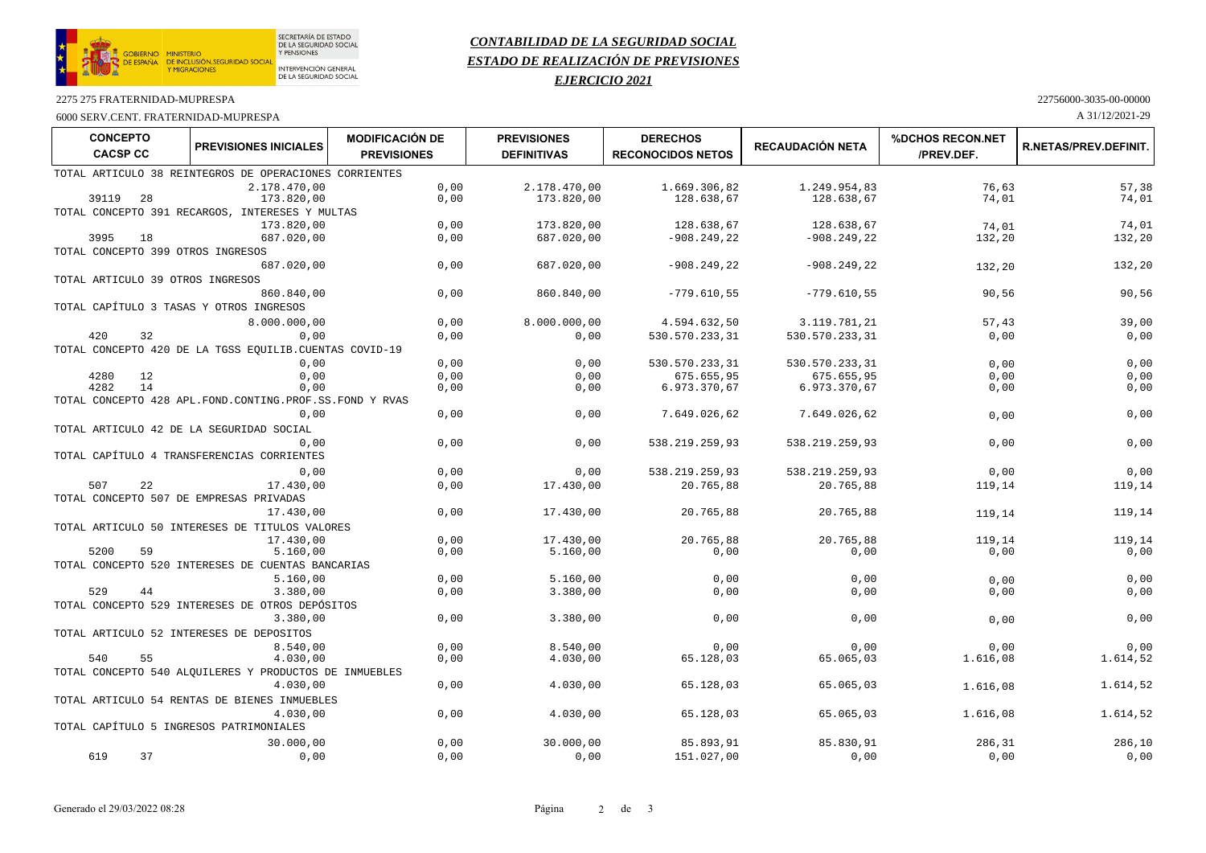

# *CONTABILIDAD DE LA SEGURIDAD SOCIAL ESTADO DE REALIZACIÓN DE PREVISIONES*

## *EJERCICIO 2021*

2275 275 FRATERNIDAD-MUPRESPA

6000 SERV.CENT. FRATERNIDAD-MUPRESPA A 31/12/2021-29

| 22756000-3035-00-00000 |
|------------------------|
|------------------------|

| <b>CONCEPTO</b><br><b>CACSP CC</b> | <b>PREVISIONES INICIALES</b>                                 | <b>MODIFICACIÓN DE</b><br><b>PREVISIONES</b> | <b>PREVISIONES</b><br><b>DEFINITIVAS</b> | <b>DERECHOS</b><br><b>RECONOCIDOS NETOS</b> | <b>RECAUDACIÓN NETA</b> | <b>%DCHOS RECON.NET</b><br>/PREV.DEF. | <b>R.NETAS/PREV.DEFINIT.</b> |
|------------------------------------|--------------------------------------------------------------|----------------------------------------------|------------------------------------------|---------------------------------------------|-------------------------|---------------------------------------|------------------------------|
|                                    | TOTAL ARTICULO 38 REINTEGROS DE OPERACIONES CORRIENTES       |                                              |                                          |                                             |                         |                                       |                              |
|                                    | 2.178.470,00                                                 | 0,00                                         | 2.178.470,00                             | 1.669.306,82                                | 1.249.954,83            | 76,63                                 | 57,38                        |
| 28<br>39119                        | 173.820,00                                                   | 0,00                                         | 173.820,00                               | 128.638,67                                  | 128.638,67              | 74,01                                 | 74,01                        |
|                                    | TOTAL CONCEPTO 391 RECARGOS, INTERESES Y MULTAS              |                                              |                                          |                                             |                         |                                       |                              |
|                                    | 173.820,00                                                   | 0,00                                         | 173.820,00                               | 128.638,67                                  | 128.638,67              | 74,01                                 | 74,01                        |
| 3995<br>18                         | 687.020,00                                                   | 0,00                                         | 687.020,00                               | $-908.249,22$                               | $-908.249, 22$          | 132,20                                | 132,20                       |
|                                    | TOTAL CONCEPTO 399 OTROS INGRESOS                            |                                              |                                          |                                             |                         |                                       |                              |
|                                    | 687.020,00                                                   | 0,00                                         | 687.020,00                               | $-908.249,22$                               | $-908.249,22$           | 132,20                                | 132,20                       |
|                                    | TOTAL ARTICULO 39 OTROS INGRESOS                             |                                              |                                          |                                             |                         |                                       |                              |
|                                    | 860.840,00                                                   | 0,00                                         | 860.840,00                               | $-779.610,55$                               | $-779.610,55$           | 90,56                                 | 90,56                        |
|                                    | TOTAL CAPÍTULO 3 TASAS Y OTROS INGRESOS                      |                                              |                                          |                                             |                         |                                       |                              |
|                                    | 8.000.000,00                                                 | 0,00                                         | 8.000.000,00                             | 4.594.632,50                                | 3.119.781,21            | 57,43                                 | 39,00                        |
| 420<br>32                          | 0,00                                                         | 0,00                                         | 0,00                                     | 530.570.233,31                              | 530.570.233,31          | 0,00                                  | 0,00                         |
|                                    | TOTAL CONCEPTO 420 DE LA TGSS EQUILIB. CUENTAS COVID-19      |                                              |                                          |                                             |                         |                                       |                              |
|                                    | 0,00                                                         | 0,00                                         | 0,00                                     | 530.570.233,31                              | 530.570.233,31          | 0.00                                  | 0,00                         |
| 4280<br>12                         | 0,00                                                         | 0,00                                         | 0,00                                     | 675.655,95                                  | 675.655,95              | 0,00                                  | 0,00                         |
| 14<br>4282                         | 0,00                                                         | 0,00                                         | 0,00                                     | 6.973.370,67                                | 6.973.370,67            | 0,00                                  | 0,00                         |
|                                    | TOTAL CONCEPTO 428 APL. FOND. CONTING. PROF. SS. FOND Y RVAS |                                              |                                          |                                             |                         |                                       |                              |
|                                    | 0,00                                                         | 0,00                                         | 0,00                                     | 7.649.026,62                                | 7.649.026,62            | 0,00                                  | 0,00                         |
|                                    | TOTAL ARTICULO 42 DE LA SEGURIDAD SOCIAL                     |                                              |                                          |                                             |                         |                                       |                              |
|                                    | 0.00                                                         | 0,00                                         | 0,00                                     | 538.219.259,93                              | 538.219.259,93          | 0,00                                  | 0,00                         |
|                                    | TOTAL CAPÍTULO 4 TRANSFERENCIAS CORRIENTES                   |                                              |                                          |                                             |                         |                                       |                              |
|                                    | 0,00                                                         | 0,00                                         | 0,00                                     | 538.219.259,93                              | 538.219.259,93          | 0,00                                  | 0,00                         |
| 507<br>22                          | 17.430.00                                                    | 0,00                                         | 17.430,00                                | 20.765,88                                   | 20.765,88               | 119,14                                | 119,14                       |
|                                    | TOTAL CONCEPTO 507 DE EMPRESAS PRIVADAS                      |                                              |                                          |                                             |                         |                                       |                              |
|                                    | 17.430,00                                                    | 0,00                                         | 17.430,00                                | 20.765,88                                   | 20.765,88               | 119,14                                | 119,14                       |
|                                    | TOTAL ARTICULO 50 INTERESES DE TITULOS VALORES               |                                              |                                          |                                             |                         |                                       |                              |
|                                    | 17.430,00                                                    | 0,00                                         | 17.430,00                                | 20.765,88                                   | 20.765,88               | 119,14                                | 119,14                       |
| 5200<br>59                         | 5.160,00                                                     | 0,00                                         | 5.160,00                                 | 0,00                                        | 0,00                    | 0,00                                  | 0,00                         |
|                                    | TOTAL CONCEPTO 520 INTERESES DE CUENTAS BANCARIAS            |                                              |                                          |                                             |                         |                                       |                              |
| 529<br>44                          | 5.160,00                                                     | 0,00                                         | 5.160,00                                 | 0,00                                        | 0,00                    | 0,00                                  | 0,00                         |
|                                    | 3.380,00<br>TOTAL CONCEPTO 529 INTERESES DE OTROS DEPÓSITOS  | 0,00                                         | 3.380,00                                 | 0,00                                        | 0,00                    | 0,00                                  | 0,00                         |
|                                    | 3.380,00                                                     | 0,00                                         | 3.380,00                                 | 0,00                                        | 0,00                    |                                       | 0,00                         |
|                                    | TOTAL ARTICULO 52 INTERESES DE DEPOSITOS                     |                                              |                                          |                                             |                         | 0,00                                  |                              |
|                                    |                                                              | 0,00                                         | 8.540,00                                 | 0.00                                        |                         | 0,00                                  | 0,00                         |
| 540<br>55                          | 8.540,00<br>4.030,00                                         | 0,00                                         | 4.030,00                                 | 65.128,03                                   | 0,00<br>65.065,03       | 1.616,08                              | 1.614,52                     |
|                                    | TOTAL CONCEPTO 540 ALQUILERES Y PRODUCTOS DE INMUEBLES       |                                              |                                          |                                             |                         |                                       |                              |
|                                    | 4.030,00                                                     | 0,00                                         | 4.030,00                                 | 65.128,03                                   | 65.065,03               | 1.616,08                              | 1.614,52                     |
|                                    | TOTAL ARTICULO 54 RENTAS DE BIENES INMUEBLES                 |                                              |                                          |                                             |                         |                                       |                              |
|                                    | 4.030,00                                                     | 0,00                                         | 4.030,00                                 | 65.128,03                                   | 65.065,03               | 1.616,08                              | 1.614,52                     |
|                                    | TOTAL CAPÍTULO 5 INGRESOS PATRIMONIALES                      |                                              |                                          |                                             |                         |                                       |                              |
|                                    | 30.000,00                                                    | 0,00                                         | 30.000,00                                | 85.893,91                                   | 85.830,91               | 286,31                                | 286,10                       |
| 619<br>37                          | 0,00                                                         | 0,00                                         | 0,00                                     | 151.027,00                                  | 0,00                    | 0,00                                  | 0,00                         |
|                                    |                                                              |                                              |                                          |                                             |                         |                                       |                              |